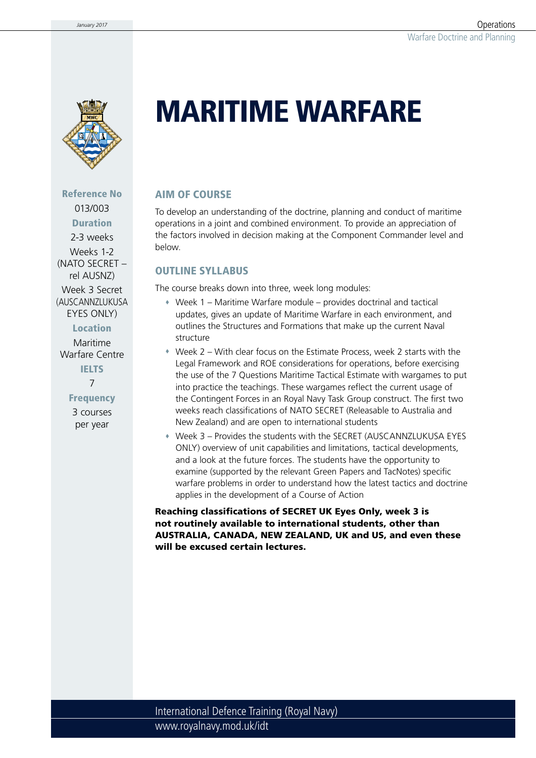

Reference No 013/003 Duration

2-3 weeks Weeks 1-2 (NATO SECRET – rel AUSNZ)

Week 3 Secret (AUSCANN7LUKUSA EYES ONLY)

Location

Maritime Warfare Centre **IELTS** 

7

**Frequency** 

3 courses per year

# MARITIME WARFARE

### AIM OF COURSE

To develop an understanding of the doctrine, planning and conduct of maritime operations in a joint and combined environment. To provide an appreciation of the factors involved in decision making at the Component Commander level and below.

### OUTLINE SYLLABUS

The course breaks down into three, week long modules:

- Week 1 Maritime Warfare module provides doctrinal and tactical updates, gives an update of Maritime Warfare in each environment, and outlines the Structures and Formations that make up the current Naval structure
- Week 2 With clear focus on the Estimate Process, week 2 starts with the Legal Framework and ROE considerations for operations, before exercising the use of the 7 Questions Maritime Tactical Estimate with wargames to put into practice the teachings. These wargames reflect the current usage of the Contingent Forces in an Royal Navy Task Group construct. The first two weeks reach classifications of NATO SECRET (Releasable to Australia and New Zealand) and are open to international students
- Week 3 Provides the students with the SECRET (AUSCANNZLUKUSA EYES ONLY) overview of unit capabilities and limitations, tactical developments, and a look at the future forces. The students have the opportunity to examine (supported by the relevant Green Papers and TacNotes) specific warfare problems in order to understand how the latest tactics and doctrine applies in the development of a Course of Action

Reaching classifications of SECRET UK Eyes Only, week 3 is not routinely available to international students, other than AUSTRALIA, CANADA, NEW ZEALAND, UK and US, and even these will be excused certain lectures.